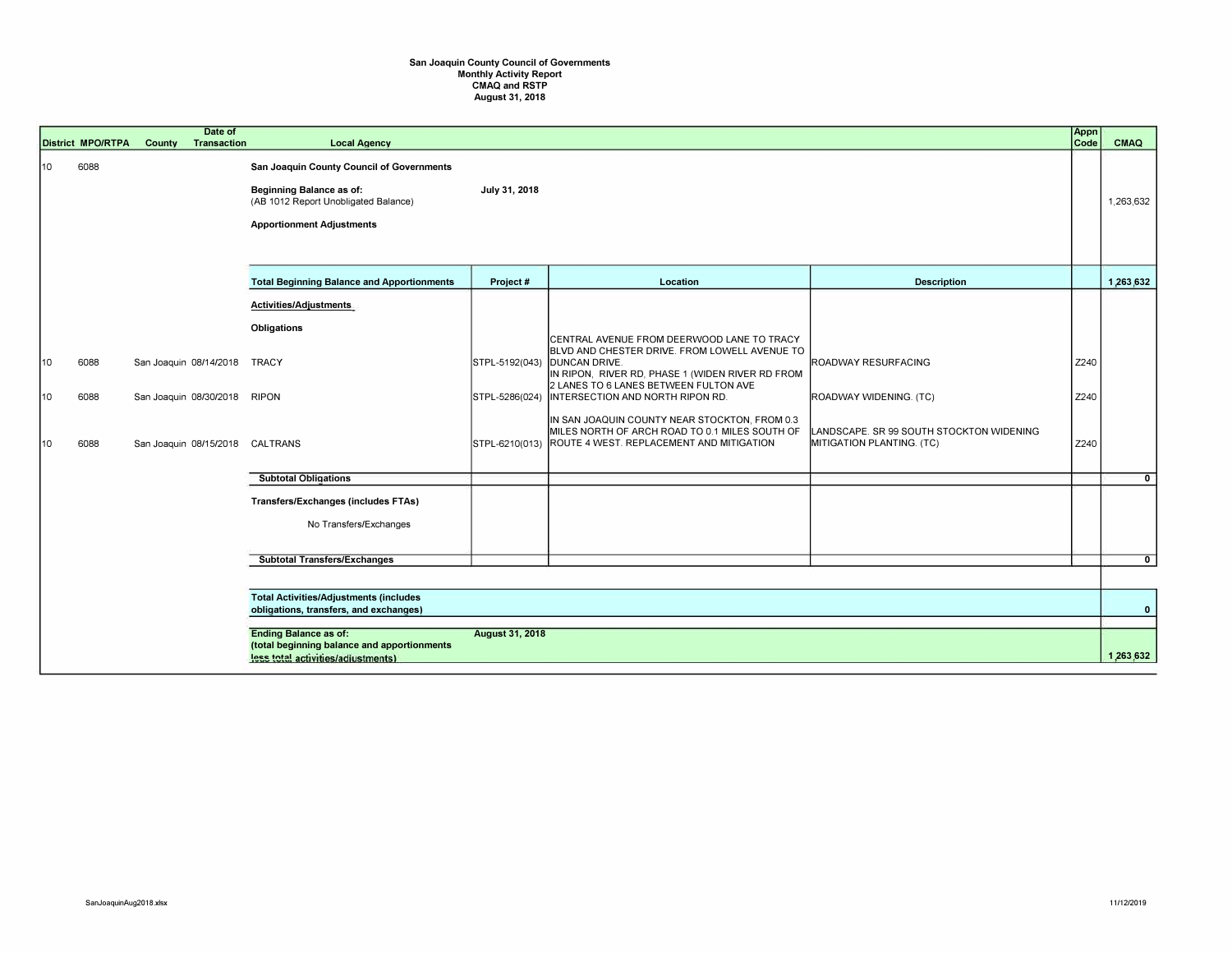## San Joaquin County Council of Governments Monthly Activity Report CMAQ and RSTP August 31, 2018

|                 |                                                                                         | <b>District MPO/RTPA</b> | Date of<br>County<br><b>Transaction</b>                                                   | <b>Local Agency</b>                                                                                                                                      |                 |                                                                                                                                                                                                                                                                                                                                                                                                                                   |                                                                                                                        | Appn<br>Code         | <b>CMAQ</b>    |
|-----------------|-----------------------------------------------------------------------------------------|--------------------------|-------------------------------------------------------------------------------------------|----------------------------------------------------------------------------------------------------------------------------------------------------------|-----------------|-----------------------------------------------------------------------------------------------------------------------------------------------------------------------------------------------------------------------------------------------------------------------------------------------------------------------------------------------------------------------------------------------------------------------------------|------------------------------------------------------------------------------------------------------------------------|----------------------|----------------|
| 10              |                                                                                         | 6088                     |                                                                                           | San Joaquin County Council of Governments<br><b>Beginning Balance as of:</b><br>(AB 1012 Report Unobligated Balance)<br><b>Apportionment Adjustments</b> | July 31, 2018   |                                                                                                                                                                                                                                                                                                                                                                                                                                   |                                                                                                                        |                      | 1,263,632      |
|                 |                                                                                         |                          |                                                                                           | <b>Total Beginning Balance and Apportionments</b>                                                                                                        | Project #       | Location                                                                                                                                                                                                                                                                                                                                                                                                                          | <b>Description</b>                                                                                                     |                      | 1,263,632      |
| 10<br>10<br>110 |                                                                                         | 6088<br>6088<br>6088     | San Joaquin 08/14/2018<br>San Joaquin 08/30/2018 RIPON<br>San Joaquin 08/15/2018 CALTRANS | Activities/Adjustments<br>Obligations<br><b>TRACY</b><br><b>Subtotal Obligations</b>                                                                     | STPL-5192(043)  | CENTRAL AVENUE FROM DEERWOOD LANE TO TRACY<br>BLVD AND CHESTER DRIVE. FROM LOWELL AVENUE TO<br><b>DUNCAN DRIVE.</b><br>IN RIPON, RIVER RD, PHASE 1 (WIDEN RIVER RD FROM<br>2 LANES TO 6 LANES BETWEEN FULTON AVE<br>STPL-5286(024) INTERSECTION AND NORTH RIPON RD.<br>IN SAN JOAQUIN COUNTY NEAR STOCKTON, FROM 0.3<br>MILES NORTH OF ARCH ROAD TO 0.1 MILES SOUTH OF<br>STPL-6210(013) ROUTE 4 WEST. REPLACEMENT AND MITIGATION | ROADWAY RESURFACING<br>ROADWAY WIDENING. (TC)<br>LANDSCAPE. SR 99 SOUTH STOCKTON WIDENING<br>MITIGATION PLANTING. (TC) | Z240<br>Z240<br>Z240 | $\overline{0}$ |
|                 |                                                                                         |                          |                                                                                           | Transfers/Exchanges (includes FTAs)                                                                                                                      |                 |                                                                                                                                                                                                                                                                                                                                                                                                                                   |                                                                                                                        |                      |                |
|                 |                                                                                         |                          |                                                                                           | No Transfers/Exchanges                                                                                                                                   |                 |                                                                                                                                                                                                                                                                                                                                                                                                                                   |                                                                                                                        |                      |                |
|                 |                                                                                         |                          |                                                                                           | <b>Subtotal Transfers/Exchanges</b>                                                                                                                      |                 |                                                                                                                                                                                                                                                                                                                                                                                                                                   |                                                                                                                        |                      | $\overline{0}$ |
|                 |                                                                                         |                          |                                                                                           |                                                                                                                                                          |                 |                                                                                                                                                                                                                                                                                                                                                                                                                                   |                                                                                                                        |                      |                |
|                 | <b>Total Activities/Adjustments (includes</b><br>obligations, transfers, and exchanges) |                          |                                                                                           |                                                                                                                                                          |                 |                                                                                                                                                                                                                                                                                                                                                                                                                                   |                                                                                                                        | $\mathbf{0}$         |                |
|                 |                                                                                         |                          |                                                                                           |                                                                                                                                                          |                 |                                                                                                                                                                                                                                                                                                                                                                                                                                   |                                                                                                                        |                      |                |
|                 |                                                                                         |                          |                                                                                           | <b>Ending Balance as of:</b><br>(total beginning balance and apportionments<br>less total activities/adjustments)                                        | August 31, 2018 |                                                                                                                                                                                                                                                                                                                                                                                                                                   |                                                                                                                        |                      | 1,263,632      |